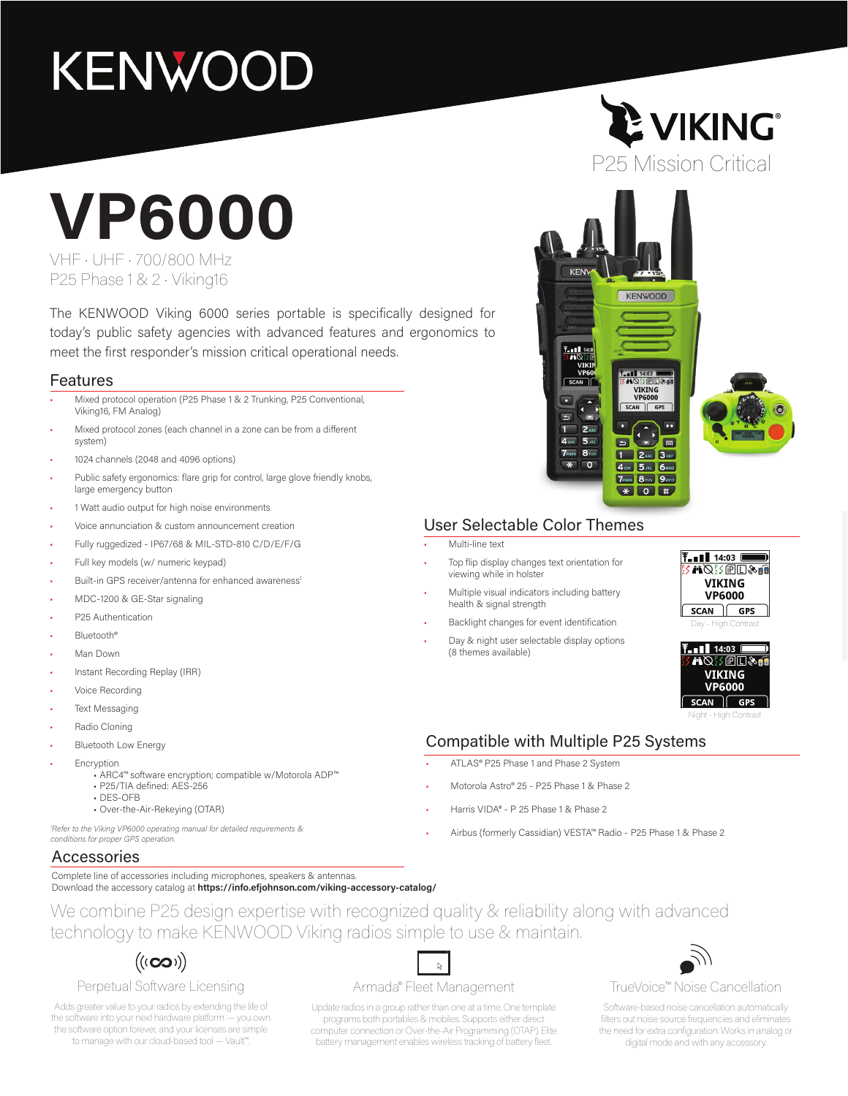## **KENWOOD**

# **VP6000**

VHF • UHF • 700/800 MHz P25 Phase 1 & 2 • Viking16

The KENWOOD Viking 6000 series portable is specifically designed for today's public safety agencies with advanced features and ergonomics to meet the first responder's mission critical operational needs.

### Features

- Mixed protocol operation (P25 Phase 1 & 2 Trunking, P25 Conventional, Viking16, FM Analog)
- Mixed protocol zones (each channel in a zone can be from a different system)
- 1024 channels (2048 and 4096 options)
- Public safety ergonomics: flare grip for control, large glove friendly knobs, large emergency button
- 1 Watt audio output for high noise environments
- Voice annunciation & custom announcement creation
- Fully ruggedized IP67/68 & MIL-STD-810 C/D/E/F/G
- Full key models (w/ numeric keypad)
- Built-in GPS receiver/antenna for enhanced awareness
- MDC-1200 & GE-Star signaling
- P25 Authentication
- Bluetooth®
- Man Down
- Instant Recording Replay (IRR)
- Voice Recording
- **Text Messaging**
- Radio Cloning
- Bluetooth Low Energy
- **Encryption** 
	- ARC4™ software encryption; compatible w/Motorola ADP™
	- P25/TIA defined: AES-256 • DES-OFB
	- Over-the-Air-Rekeying (OTAR)
	-

*1 Refer to the Viking VP6000 operating manual for detailed requirements & conditions for proper GPS operation.* 

### Accessories

Complete line of accessories including microphones, speakers & antennas. Download the accessory catalog at **https://info.efjohnson.com/viking-accessory-catalog/**

We combine P25 design expertise with recognized quality & reliability along with advanced technology to make KENWOOD Viking radios simple to use & maintain.

### $((\infty))$

### Perpetual Software Licensing

Adds greater value to your radios by extending the life of the software into your next hardware platform — you own the software option forever, and your licenses are simple to manage with our cloud-based tool — Vault™.

#### Armada® Fleet Management

Update radios in a group rather than one at a time. One template programs both portables & mobiles. Supports either direct computer connection or Over-the-Air Programming (OTAP). Elite battery management enables wireless tracking of battery fleet.

### **LE VIKING®** P25 Mission Critical



### User Selectable Color Themes

• Multi-line text

- Top flip display changes text orientation for viewing while in holster
- Multiple visual indicators including battery health & signal strength
- Backlight changes for event identification
- Day & night user selectable display options (8 themes available)





Night - High Contrast

### Compatible with Multiple P25 Systems

- ATLAS® P25 Phase 1 and Phase 2 System
- Motorola Astro® 25 P25 Phase 1 & Phase 2
- Harris VIDA® P 25 Phase 1 & Phase 2
- Airbus (formerly Cassidian) VESTA™ Radio P25 Phase 1 & Phase 2



#### TrueVoice™ Noise Cancellation

Software-based noise cancellation automatically filters out noise source frequencies and eliminates the need for extra configuration. Works in analog or digital mode and with any accessory.

 $\tilde{\varphi}$